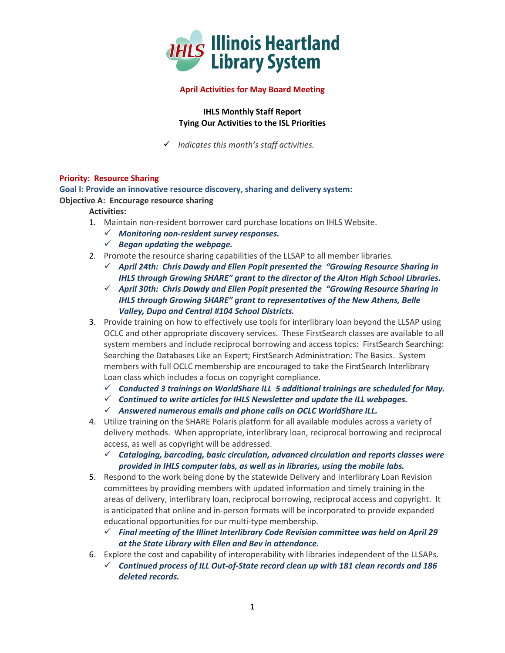

## **April Activities for May Board Meeting**

**IHLS Monthly Staff Report Tying Our Activities to the ISL Priorities**

*Indicates this month's staff activities.*

## **Priority: Resource Sharing**

**Goal I: Provide an innovative resource discovery, sharing and delivery system:**

**Objective A: Encourage resource sharing**

**Activities:**

- 1. Maintain non-resident borrower card purchase locations on IHLS Website.
	- *Monitoring non-resident survey responses.*
	- *Began updating the webpage.*
- 2. Promote the resource sharing capabilities of the LLSAP to all member libraries.
	- *April 24th: Chris Dawdy and Ellen Popit presented the "Growing Resource Sharing in IHLS through Growing SHARE" grant to the director of the Alton High School Libraries.*
	- *April 30th: Chris Dawdy and Ellen Popit presented the "Growing Resource Sharing in IHLS through Growing SHARE" grant to representatives of the New Athens, Belle Valley, Dupo and Central #104 School Districts.*
- 3. Provide training on how to effectively use tools for interlibrary loan beyond the LLSAP using OCLC and other appropriate discovery services. These FirstSearch classes are available to all system members and include reciprocal borrowing and access topics: FirstSearch Searching: Searching the Databases Like an Expert; FirstSearch Administration: The Basics. System members with full OCLC membership are encouraged to take the FirstSearch Interlibrary Loan class which includes a focus on copyright compliance.
	- *Conducted 3 trainings on WorldShare ILL 5 additional trainings are scheduled for May.*
	- *Continued to write articles for IHLS Newsletter and update the ILL webpages.*
	- *Answered numerous emails and phone calls on OCLC WorldShare ILL.*
- 4. Utilize training on the SHARE Polaris platform for all available modules across a variety of delivery methods. When appropriate, interlibrary loan, reciprocal borrowing and reciprocal access, as well as copyright will be addressed.
	- *Cataloging, barcoding, basic circulation, advanced circulation and reports classes were provided in IHLS computer labs, as well as in libraries, using the mobile labs.*
- 5. Respond to the work being done by the statewide Delivery and Interlibrary Loan Revision committees by providing members with updated information and timely training in the areas of delivery, interlibrary loan, reciprocal borrowing, reciprocal access and copyright. It is anticipated that online and in-person formats will be incorporated to provide expanded educational opportunities for our multi-type membership.
	- *Final meeting of the Illinet Interlibrary Code Revision committee was held on April 29 at the State Library with Ellen and Bev in attendance.*
- 6. Explore the cost and capability of interoperability with libraries independent of the LLSAPs.
	- *Continued process of ILL Out-of-State record clean up with 181 clean records and 186 deleted records.*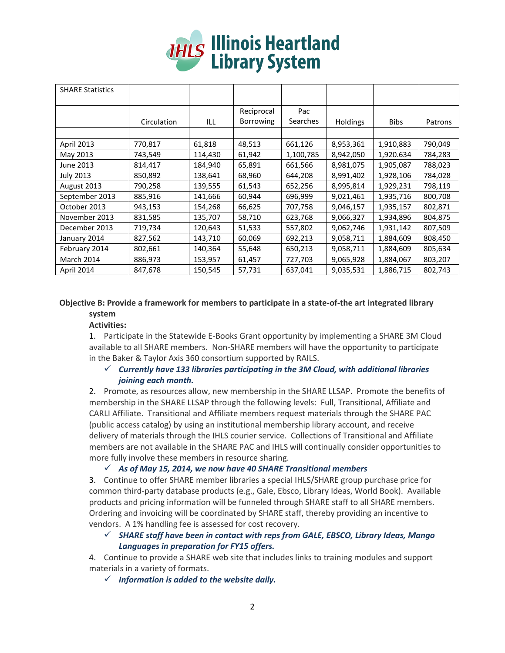# **THLS Illinois Heartland**<br>Library System

| <b>SHARE Statistics</b> |             |         |                                |                 |                 |             |         |
|-------------------------|-------------|---------|--------------------------------|-----------------|-----------------|-------------|---------|
|                         | Circulation | ILL     | Reciprocal<br><b>Borrowing</b> | Pac<br>Searches | <b>Holdings</b> | <b>Bibs</b> | Patrons |
|                         |             |         |                                |                 |                 |             |         |
| April 2013              | 770,817     | 61,818  | 48,513                         | 661,126         | 8,953,361       | 1,910,883   | 790,049 |
| May 2013                | 743,549     | 114,430 | 61,942                         | 1,100,785       | 8,942,050       | 1,920.634   | 784,283 |
| June 2013               | 814,417     | 184,940 | 65,891                         | 661,566         | 8,981,075       | 1,905,087   | 788,023 |
| <b>July 2013</b>        | 850,892     | 138,641 | 68,960                         | 644,208         | 8,991,402       | 1,928,106   | 784,028 |
| August 2013             | 790,258     | 139,555 | 61,543                         | 652,256         | 8,995,814       | 1,929,231   | 798,119 |
| September 2013          | 885,916     | 141,666 | 60,944                         | 696,999         | 9,021,461       | 1,935,716   | 800,708 |
| October 2013            | 943,153     | 154,268 | 66,625                         | 707,758         | 9,046,157       | 1,935,157   | 802,871 |
| November 2013           | 831,585     | 135,707 | 58,710                         | 623,768         | 9,066,327       | 1,934,896   | 804,875 |
| December 2013           | 719,734     | 120,643 | 51,533                         | 557,802         | 9,062,746       | 1,931,142   | 807,509 |
| January 2014            | 827,562     | 143,710 | 60,069                         | 692,213         | 9,058,711       | 1,884,609   | 808,450 |
| February 2014           | 802,661     | 140,364 | 55,648                         | 650,213         | 9,058,711       | 1,884,609   | 805,634 |
| March 2014              | 886,973     | 153,957 | 61,457                         | 727,703         | 9,065,928       | 1,884,067   | 803,207 |
| April 2014              | 847,678     | 150,545 | 57,731                         | 637,041         | 9,035,531       | 1,886,715   | 802,743 |

# **Objective B: Provide a framework for members to participate in a state-of-the art integrated library system**

## **Activities:**

1. Participate in the Statewide E-Books Grant opportunity by implementing a SHARE 3M Cloud available to all SHARE members. Non-SHARE members will have the opportunity to participate in the Baker & Taylor Axis 360 consortium supported by RAILS.

## *Currently have 133 libraries participating in the 3M Cloud, with additional libraries joining each month.*

2. Promote, as resources allow, new membership in the SHARE LLSAP. Promote the benefits of membership in the SHARE LLSAP through the following levels: Full, Transitional, Affiliate and CARLI Affiliate. Transitional and Affiliate members request materials through the SHARE PAC (public access catalog) by using an institutional membership library account, and receive delivery of materials through the IHLS courier service. Collections of Transitional and Affiliate members are not available in the SHARE PAC and IHLS will continually consider opportunities to more fully involve these members in resource sharing.

# $\checkmark$  As of May 15, 2014, we now have 40 SHARE Transitional members

3. Continue to offer SHARE member libraries a special IHLS/SHARE group purchase price for common third-party database products (e.g., Gale, Ebsco, Library Ideas, World Book). Available products and pricing information will be funneled through SHARE staff to all SHARE members. Ordering and invoicing will be coordinated by SHARE staff, thereby providing an incentive to vendors. A 1% handling fee is assessed for cost recovery.

# *SHARE staff have been in contact with reps from GALE, EBSCO, Library Ideas, Mango Languages in preparation for FY15 offers.*

4. Continue to provide a SHARE web site that includes links to training modules and support materials in a variety of formats.

*Information is added to the website daily.*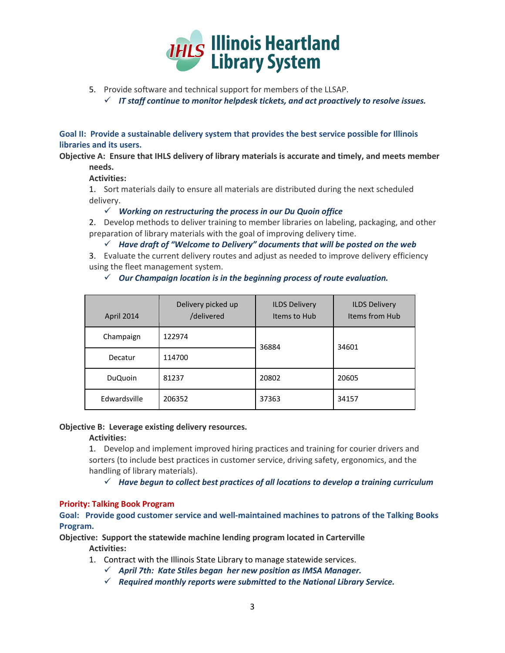

- 5. Provide software and technical support for members of the LLSAP.
	- *IT staff continue to monitor helpdesk tickets, and act proactively to resolve issues.*

**Goal II: Provide a sustainable delivery system that provides the best service possible for Illinois libraries and its users.**

**Objective A: Ensure that IHLS delivery of library materials is accurate and timely, and meets member needs.**

## **Activities:**

1. Sort materials daily to ensure all materials are distributed during the next scheduled delivery.

*Working on restructuring the process in our Du Quoin office* 

2. Develop methods to deliver training to member libraries on labeling, packaging, and other preparation of library materials with the goal of improving delivery time.

*Have draft of "Welcome to Delivery" documents that will be posted on the web*

3. Evaluate the current delivery routes and adjust as needed to improve delivery efficiency using the fleet management system.

| April 2014     | Delivery picked up<br>/delivered | <b>ILDS Delivery</b><br>Items to Hub | <b>ILDS Delivery</b><br>Items from Hub |
|----------------|----------------------------------|--------------------------------------|----------------------------------------|
| Champaign      | 122974                           | 36884                                | 34601                                  |
| Decatur        | 114700                           |                                      |                                        |
| <b>DuQuoin</b> | 81237                            | 20802                                | 20605                                  |
| Edwardsville   | 206352                           | 37363                                | 34157                                  |

*Our Champaign location is in the beginning process of route evaluation.*

## **Objective B: Leverage existing delivery resources.**

## **Activities:**

1. Develop and implement improved hiring practices and training for courier drivers and sorters (to include best practices in customer service, driving safety, ergonomics, and the handling of library materials).

*Have begun to collect best practices of all locations to develop a training curriculum* 

## **Priority: Talking Book Program**

**Goal: Provide good customer service and well-maintained machines to patrons of the Talking Books Program.** 

**Objective: Support the statewide machine lending program located in Carterville Activities:**

- 1. Contract with the Illinois State Library to manage statewide services.
	- *April 7th: Kate Stiles began her new position as IMSA Manager.*
	- *Required monthly reports were submitted to the National Library Service.*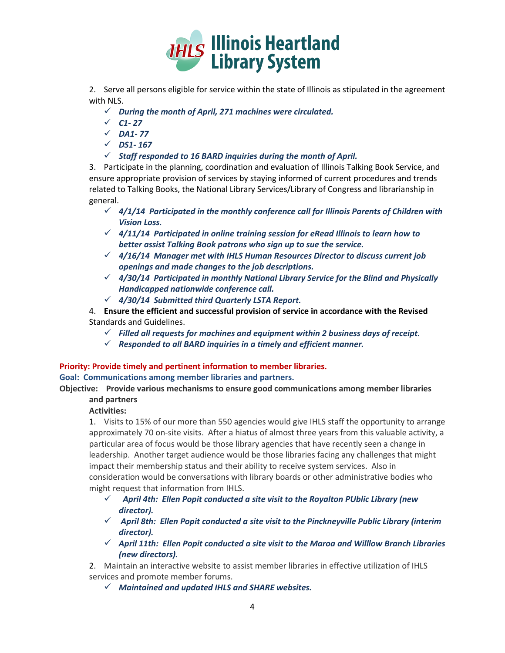

2. Serve all persons eligible for service within the state of Illinois as stipulated in the agreement with NLS.

- *During the month of April, 271 machines were circulated.*
- $\times$  *C1-27*
- *DA1- 77*
- *DS1- 167*
- *Staff responded to 16 BARD inquiries during the month of April.*

3. Participate in the planning, coordination and evaluation of Illinois Talking Book Service, and ensure appropriate provision of services by staying informed of current procedures and trends related to Talking Books, the National Library Services/Library of Congress and librarianship in general.

- *4/1/14 Participated in the monthly conference call for Illinois Parents of Children with Vision Loss.*
- *4/11/14 Participated in online training session for eRead Illinois to learn how to better assist Talking Book patrons who sign up to sue the service.*
- *4/16/14 Manager met with IHLS Human Resources Director to discuss current job openings and made changes to the job descriptions.*
- *4/30/14 Participated in monthly National Library Service for the Blind and Physically Handicapped nationwide conference call.*
- *4/30/14 Submitted third Quarterly LSTA Report.*
- 4. **Ensure the efficient and successful provision of service in accordance with the Revised** Standards and Guidelines.
	- $\checkmark$  Filled all requests for machines and equipment within 2 business days of receipt.
	- *Responded to all BARD inquiries in a timely and efficient manner.*

## **Priority: Provide timely and pertinent information to member libraries.**

**Goal: Communications among member libraries and partners.**

**Objective: Provide various mechanisms to ensure good communications among member libraries and partners**

**Activities:**

1. Visits to 15% of our more than 550 agencies would give IHLS staff the opportunity to arrange approximately 70 on-site visits. After a hiatus of almost three years from this valuable activity, a particular area of focus would be those library agencies that have recently seen a change in leadership. Another target audience would be those libraries facing any challenges that might impact their membership status and their ability to receive system services. Also in consideration would be conversations with library boards or other administrative bodies who might request that information from IHLS.

- $\checkmark$  April 4th: Ellen Popit conducted a site visit to the Royalton PUblic Library (new *director).*
- $\checkmark$  April 8th: Ellen Popit conducted a site visit to the Pinckneyville Public Library (interim *director).*
- *April 11th: Ellen Popit conducted a site visit to the Maroa and Willlow Branch Libraries (new directors).*

2. Maintain an interactive website to assist member libraries in effective utilization of IHLS services and promote member forums.

*Maintained and updated IHLS and SHARE websites.*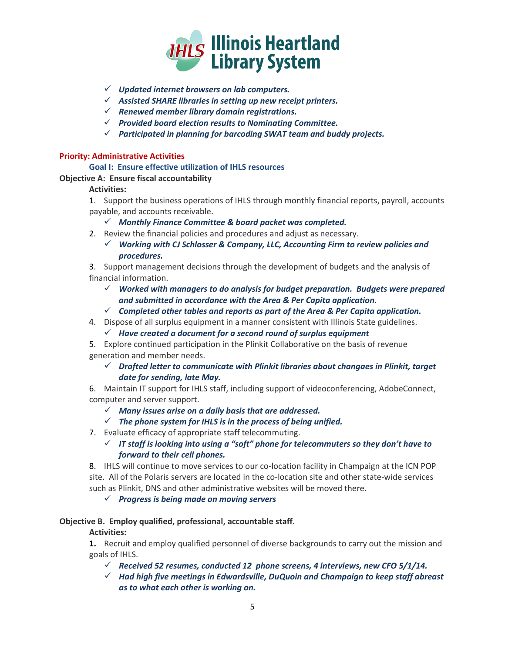

- *Updated internet browsers on lab computers.*
- *Assisted SHARE libraries in setting up new receipt printers.*
- *Renewed member library domain registrations.*
- *Provided board election results to Nominating Committee.*
- *Participated in planning for barcoding SWAT team and buddy projects.*

#### **Priority: Administrative Activities**

#### **Goal I: Ensure effective utilization of IHLS resources**

#### **Objective A: Ensure fiscal accountability**

## **Activities:**

1. Support the business operations of IHLS through monthly financial reports, payroll, accounts payable, and accounts receivable.

- *Monthly Finance Committee & board packet was completed.*
- 2. Review the financial policies and procedures and adjust as necessary.
	- *Working with CJ Schlosser & Company, LLC, Accounting Firm to review policies and procedures.*

3. Support management decisions through the development of budgets and the analysis of financial information.

- *Worked with managers to do analysis for budget preparation. Budgets were prepared and submitted in accordance with the Area & Per Capita application.*
- *Completed other tables and reports as part of the Area & Per Capita application.*
- 4. Dispose of all surplus equipment in a manner consistent with Illinois State guidelines.
	- *Have created a document for a second round of surplus equipment*
- 5. Explore continued participation in the Plinkit Collaborative on the basis of revenue generation and member needs.
	- *Drafted letter to communicate with Plinkit libraries about changaes in Plinkit, target date for sending, late May.*

6. Maintain IT support for IHLS staff, including support of videoconferencing, AdobeConnect, computer and server support.

- *Many issues arise on a daily basis that are addressed.*
- *The phone system for IHLS is in the process of being unified.*
- 7. Evaluate efficacy of appropriate staff telecommuting.

## *IT staff is looking into using a "soft" phone for telecommuters so they don't have to forward to their cell phones.*

8. IHLS will continue to move services to our co-location facility in Champaign at the ICN POP site. All of the Polaris servers are located in the co-location site and other state-wide services such as Plinkit, DNS and other administrative websites will be moved there.

## *Progress is being made on moving servers*

## **Objective B. Employ qualified, professional, accountable staff.**

## **Activities:**

**1.** Recruit and employ qualified personnel of diverse backgrounds to carry out the mission and goals of IHLS.

- *Received 52 resumes, conducted 12 phone screens, 4 interviews, new CFO 5/1/14.*
- *Had high five meetings in Edwardsville, DuQuoin and Champaign to keep staff abreast as to what each other is working on.*